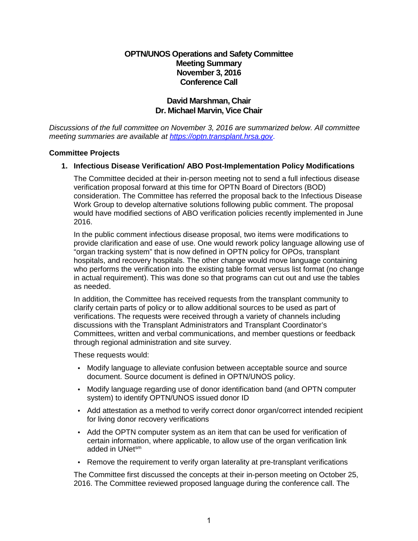# **OPTN/UNOS Operations and Safety Committee Meeting Summary November 3, 2016 Conference Call**

# **David Marshman, Chair Dr. Michael Marvin, Vice Chair**

*Discussions of the full committee on November 3, 2016 are summarized below. All committee meeting summaries are available at [https://optn.transplant.hrsa.gov](https://optn.transplant.hrsa.gov/)*.

### **Committee Projects**

### **1. Infectious Disease Verification/ ABO Post-Implementation Policy Modifications**

The Committee decided at their in-person meeting not to send a full infectious disease verification proposal forward at this time for OPTN Board of Directors (BOD) consideration. The Committee has referred the proposal back to the Infectious Disease Work Group to develop alternative solutions following public comment. The proposal would have modified sections of ABO verification policies recently implemented in June 2016.

In the public comment infectious disease proposal, two items were modifications to provide clarification and ease of use. One would rework policy language allowing use of "organ tracking system" that is now defined in OPTN policy for OPOs, transplant hospitals, and recovery hospitals. The other change would move language containing who performs the verification into the existing table format versus list format (no change in actual requirement). This was done so that programs can cut out and use the tables as needed.

In addition, the Committee has received requests from the transplant community to clarify certain parts of policy or to allow additional sources to be used as part of verifications. The requests were received through a variety of channels including discussions with the Transplant Administrators and Transplant Coordinator's Committees, written and verbal communications, and member questions or feedback through regional administration and site survey.

These requests would:

- Modify language to alleviate confusion between acceptable source and source document. Source document is defined in OPTN/UNOS policy.
- Modify language regarding use of donor identification band (and OPTN computer system) to identify OPTN/UNOS issued donor ID
- Add attestation as a method to verify correct donor organ/correct intended recipient for living donor recovery verifications
- Add the OPTN computer system as an item that can be used for verification of certain information, where applicable, to allow use of the organ verification link added in UNetsm
- Remove the requirement to verify organ laterality at pre-transplant verifications

The Committee first discussed the concepts at their in-person meeting on October 25, 2016. The Committee reviewed proposed language during the conference call. The